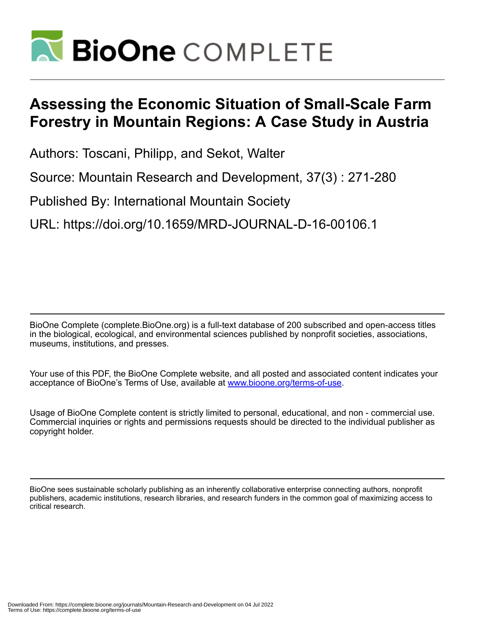

# **Assessing the Economic Situation of Small-Scale Farm Forestry in Mountain Regions: A Case Study in Austria**

Authors: Toscani, Philipp, and Sekot, Walter

Source: Mountain Research and Development, 37(3) : 271-280

Published By: International Mountain Society

URL: https://doi.org/10.1659/MRD-JOURNAL-D-16-00106.1

BioOne Complete (complete.BioOne.org) is a full-text database of 200 subscribed and open-access titles in the biological, ecological, and environmental sciences published by nonprofit societies, associations, museums, institutions, and presses.

Your use of this PDF, the BioOne Complete website, and all posted and associated content indicates your acceptance of BioOne's Terms of Use, available at www.bioone.org/terms-of-use.

Usage of BioOne Complete content is strictly limited to personal, educational, and non - commercial use. Commercial inquiries or rights and permissions requests should be directed to the individual publisher as copyright holder.

BioOne sees sustainable scholarly publishing as an inherently collaborative enterprise connecting authors, nonprofit publishers, academic institutions, research libraries, and research funders in the common goal of maximizing access to critical research.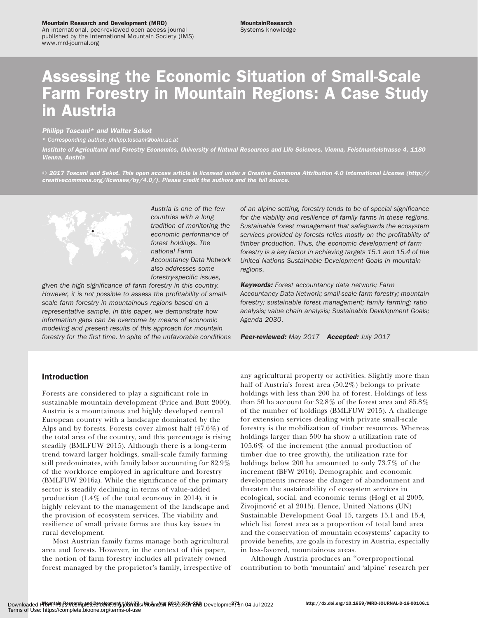#### Mountain Research and Development (MRD)

An international, peer-reviewed open access journal published by the International Mountain Society (IMS) www.mrd-journal.org

# Assessing the Economic Situation of Small-Scale Farm Forestry in Mountain Regions: A Case Study in Austria

# Philipp Toscani\* and Walter Sekot

\* Corresponding author: [philipp.toscani@boku.ac.at](mailto:philipp.toscani@boku.ac.at)

Institute of Agricultural and Forestry Economics, University of Natural Resources and Life Sciences, Vienna, Feistmantelstrasse 4, 1180 Vienna, Austria

 $\circ$  2017 Toscani and Sekot. This open access article is licensed under a Creative Commons Attribution 4.0 International License [\(http://](http://creativecommons.org/licenses/by/4.0/) [creativecommons.org/licenses/by/4.0/](http://creativecommons.org/licenses/by/4.0/)). Please credit the authors and the full source.



Austria is one of the few countries with a long tradition of monitoring the economic performance of forest holdings. The national Farm Accountancy Data Network also addresses some forestry-specific issues,

given the high significance of farm forestry in this country. However, it is not possible to assess the profitability of smallscale farm forestry in mountainous regions based on a representative sample. In this paper, we demonstrate how information gaps can be overcome by means of economic modeling and present results of this approach for mountain forestry for the first time. In spite of the unfavorable conditions

# of an alpine setting, forestry tends to be of special significance for the viability and resilience of family farms in these regions. Sustainable forest management that safeguards the ecosystem services provided by forests relies mostly on the profitability of timber production. Thus, the economic development of farm forestry is a key factor in achieving targets 15.1 and 15.4 of the United Nations Sustainable Development Goals in mountain regions.

Keywords: Forest accountancy data network; Farm Accountancy Data Network; small-scale farm forestry; mountain forestry; sustainable forest management; family farming; ratio analysis; value chain analysis; Sustainable Development Goals; Agenda 2030.

Peer-reviewed: May 2017 Accepted: July 2017

# Introduction

Forests are considered to play a significant role in sustainable mountain development (Price and Butt 2000). Austria is a mountainous and highly developed central European country with a landscape dominated by the Alps and by forests. Forests cover almost half (47.6%) of the total area of the country, and this percentage is rising steadily (BMLFUW 2015). Although there is a long-term trend toward larger holdings, small-scale family farming still predominates, with family labor accounting for 82.9% of the workforce employed in agriculture and forestry (BMLFUW 2016a). While the significance of the primary sector is steadily declining in terms of value-added production (1.4% of the total economy in 2014), it is highly relevant to the management of the landscape and the provision of ecosystem services. The viability and resilience of small private farms are thus key issues in rural development.

Most Austrian family farms manage both agricultural area and forests. However, in the context of this paper, the notion of farm forestry includes all privately owned forest managed by the proprietor's family, irrespective of

any agricultural property or activities. Slightly more than half of Austria's forest area (50.2%) belongs to private holdings with less than 200 ha of forest. Holdings of less than 50 ha account for 32.8% of the forest area and 85.8% of the number of holdings (BMLFUW 2015). A challenge for extension services dealing with private small-scale forestry is the mobilization of timber resources. Whereas holdings larger than 500 ha show a utilization rate of 105.6% of the increment (the annual production of timber due to tree growth), the utilization rate for holdings below 200 ha amounted to only 73.7% of the increment (BFW 2016). Demographic and economic developments increase the danger of abandonment and threaten the sustainability of ecosystem services in ecological, social, and economic terms (Hogl et al 2005; Živojinović et al 2015). Hence, United Nations (UN) Sustainable Development Goal 15, targets 15.1 and 15.4, which list forest area as a proportion of total land area and the conservation of mountain ecosystems' capacity to provide benefits, are goals in forestry in Austria, especially in less-favored, mountainous areas.

Although Austria produces an ''overproportional contribution to both 'mountain' and 'alpine' research per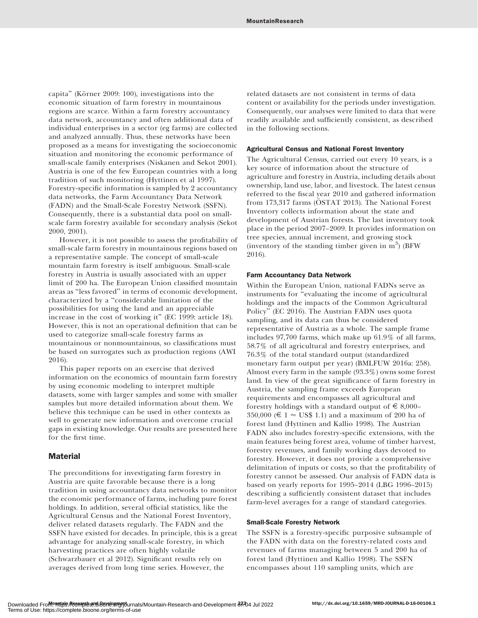capita" (Körner 2009: 100), investigations into the economic situation of farm forestry in mountainous regions are scarce. Within a farm forestry accountancy data network, accountancy and often additional data of individual enterprises in a sector (eg farms) are collected and analyzed annually. Thus, these networks have been proposed as a means for investigating the socioeconomic situation and monitoring the economic performance of small-scale family enterprises (Niskanen and Sekot 2001). Austria is one of the few European countries with a long tradition of such monitoring (Hyttinen et al 1997). Forestry-specific information is sampled by 2 accountancy data networks, the Farm Accountancy Data Network (FADN) and the Small-Scale Forestry Network (SSFN). Consequently, there is a substantial data pool on smallscale farm forestry available for secondary analysis (Sekot 2000, 2001).

However, it is not possible to assess the profitability of small-scale farm forestry in mountainous regions based on a representative sample. The concept of small-scale mountain farm forestry is itself ambiguous. Small-scale forestry in Austria is usually associated with an upper limit of 200 ha. The European Union classified mountain areas as ''less favored'' in terms of economic development, characterized by a ''considerable limitation of the possibilities for using the land and an appreciable increase in the cost of working it" (EC 1999: article 18). However, this is not an operational definition that can be used to categorize small-scale forestry farms as mountainous or nonmountainous, so classifications must be based on surrogates such as production regions (AWI 2016).

This paper reports on an exercise that derived information on the economics of mountain farm forestry by using economic modeling to interpret multiple datasets, some with larger samples and some with smaller samples but more detailed information about them. We believe this technique can be used in other contexts as well to generate new information and overcome crucial gaps in existing knowledge. Our results are presented here for the first time.

## Material

The preconditions for investigating farm forestry in Austria are quite favorable because there is a long tradition in using accountancy data networks to monitor the economic performance of farms, including pure forest holdings. In addition, several official statistics, like the Agricultural Census and the National Forest Inventory, deliver related datasets regularly. The FADN and the SSFN have existed for decades. In principle, this is a great advantage for analyzing small-scale forestry, in which harvesting practices are often highly volatile (Schwarzbauer et al 2012). Significant results rely on averages derived from long time series. However, the

related datasets are not consistent in terms of data content or availability for the periods under investigation. Consequently, our analyses were limited to data that were readily available and sufficiently consistent, as described in the following sections.

#### Agricultural Census and National Forest Inventory

The Agricultural Census, carried out every 10 years, is a key source of information about the structure of agriculture and forestry in Austria, including details about ownership, land use, labor, and livestock. The latest census referred to the fiscal year 2010 and gathered information from  $173,317$  farms ( $\overline{\text{OSTAT}}$  2013). The National Forest Inventory collects information about the state and development of Austrian forests. The last inventory took place in the period 2007–2009. It provides information on tree species, annual increment, and growing stock (inventory of the standing timber given in  $m<sup>3</sup>$ ) (BFW 2016).

#### Farm Accountancy Data Network

Within the European Union, national FADNs serve as instruments for ''evaluating the income of agricultural holdings and the impacts of the Common Agricultural Policy'' (EC 2016). The Austrian FADN uses quota sampling, and its data can thus be considered representative of Austria as a whole. The sample frame includes 97,700 farms, which make up 61.9% of all farms, 58.7% of all agricultural and forestry enterprises, and 76.3% of the total standard output (standardized monetary farm output per year) (BMLFUW 2016a: 258). Almost every farm in the sample (93.3%) owns some forest land. In view of the great significance of farm forestry in Austria, the sampling frame exceeds European requirements and encompasses all agricultural and forestry holdings with a standard output of  $\epsilon \approx 8,000-$ 350,000 ( $\in$  1  $\approx$  US\$ 1.1) and a maximum of 200 ha of forest land (Hyttinen and Kallio 1998). The Austrian FADN also includes forestry-specific extensions, with the main features being forest area, volume of timber harvest, forestry revenues, and family working days devoted to forestry. However, it does not provide a comprehensive delimitation of inputs or costs, so that the profitability of forestry cannot be assessed. Our analysis of FADN data is based on yearly reports for 1995–2014 (LBG 1996–2015) describing a sufficiently consistent dataset that includes farm-level averages for a range of standard categories.

#### Small-Scale Forestry Network

The SSFN is a forestry-specific purposive subsample of the FADN with data on the forestry-related costs and revenues of farms managing between 5 and 200 ha of forest land (Hyttinen and Kallio 1998). The SSFN encompasses about 110 sampling units, which are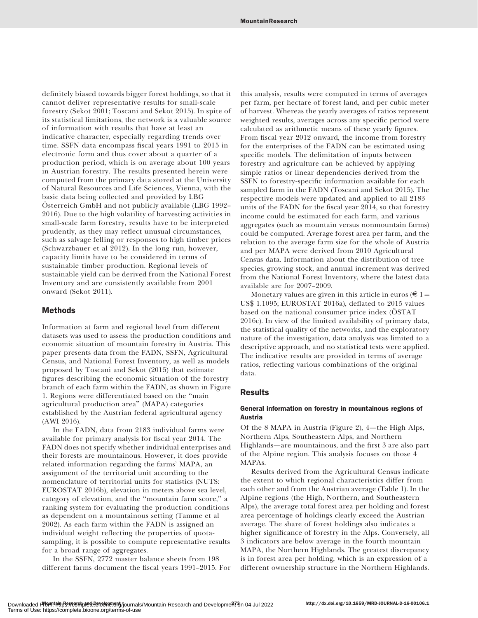definitely biased towards bigger forest holdings, so that it cannot deliver representative results for small-scale forestry (Sekot 2001; Toscani and Sekot 2015). In spite of its statistical limitations, the network is a valuable source of information with results that have at least an indicative character, especially regarding trends over time. SSFN data encompass fiscal years 1991 to 2015 in electronic form and thus cover about a quarter of a production period, which is on average about 100 years in Austrian forestry. The results presented herein were computed from the primary data stored at the University of Natural Resources and Life Sciences, Vienna, with the basic data being collected and provided by LBG Österreich GmbH and not publicly available (LBG 1992– 2016). Due to the high volatility of harvesting activities in small-scale farm forestry, results have to be interpreted prudently, as they may reflect unusual circumstances, such as salvage felling or responses to high timber prices (Schwarzbauer et al 2012). In the long run, however, capacity limits have to be considered in terms of sustainable timber production. Regional levels of sustainable yield can be derived from the National Forest Inventory and are consistently available from 2001 onward (Sekot 2011).

## Methods

Information at farm and regional level from different datasets was used to assess the production conditions and economic situation of mountain forestry in Austria. This paper presents data from the FADN, SSFN, Agricultural Census, and National Forest Inventory, as well as models proposed by Toscani and Sekot (2015) that estimate figures describing the economic situation of the forestry branch of each farm within the FADN, as shown in Figure 1. Regions were differentiated based on the ''main agricultural production area'' (MAPA) categories established by the Austrian federal agricultural agency (AWI 2016).

In the FADN, data from 2183 individual farms were available for primary analysis for fiscal year 2014. The FADN does not specify whether individual enterprises and their forests are mountainous. However, it does provide related information regarding the farms' MAPA, an assignment of the territorial unit according to the nomenclature of territorial units for statistics (NUTS: EUROSTAT 2016b), elevation in meters above sea level, category of elevation, and the ''mountain farm score,'' a ranking system for evaluating the production conditions as dependent on a mountainous setting (Tamme et al 2002). As each farm within the FADN is assigned an individual weight reflecting the properties of quotasampling, it is possible to compute representative results for a broad range of aggregates.

In the SSFN, 2772 master balance sheets from 198 different farms document the fiscal years 1991–2015. For this analysis, results were computed in terms of averages per farm, per hectare of forest land, and per cubic meter of harvest. Whereas the yearly averages of ratios represent weighted results, averages across any specific period were calculated as arithmetic means of these yearly figures. From fiscal year 2012 onward, the income from forestry for the enterprises of the FADN can be estimated using specific models. The delimitation of inputs between forestry and agriculture can be achieved by applying simple ratios or linear dependencies derived from the SSFN to forestry-specific information available for each sampled farm in the FADN (Toscani and Sekot 2015). The respective models were updated and applied to all 2183 units of the FADN for the fiscal year 2014, so that forestry income could be estimated for each farm, and various aggregates (such as mountain versus nonmountain farms) could be computed. Average forest area per farm, and the relation to the average farm size for the whole of Austria and per MAPA were derived from 2010 Agricultural Census data. Information about the distribution of tree species, growing stock, and annual increment was derived from the National Forest Inventory, where the latest data available are for 2007–2009.

Monetary values are given in this article in euros ( $\in$  1 = US\$ 1.1095; EUROSTAT 2016a), deflated to 2015 values based on the national consumer price index (ÖSTAT 2016c). In view of the limited availability of primary data, the statistical quality of the networks, and the exploratory nature of the investigation, data analysis was limited to a descriptive approach, and no statistical tests were applied. The indicative results are provided in terms of average ratios, reflecting various combinations of the original data.

# **Results**

## General information on forestry in mountainous regions of Austria

Of the 8 MAPA in Austria (Figure 2), 4—the High Alps, Northern Alps, Southeastern Alps, and Northern Highlands—are mountainous, and the first 3 are also part of the Alpine region. This analysis focuses on those 4 MAPAs.

Results derived from the Agricultural Census indicate the extent to which regional characteristics differ from each other and from the Austrian average (Table 1). In the Alpine regions (the High, Northern, and Southeastern Alps), the average total forest area per holding and forest area percentage of holdings clearly exceed the Austrian average. The share of forest holdings also indicates a higher significance of forestry in the Alps. Conversely, all 3 indicators are below average in the fourth mountain MAPA, the Northern Highlands. The greatest discrepancy is in forest area per holding, which is an expression of a different ownership structure in the Northern Highlands.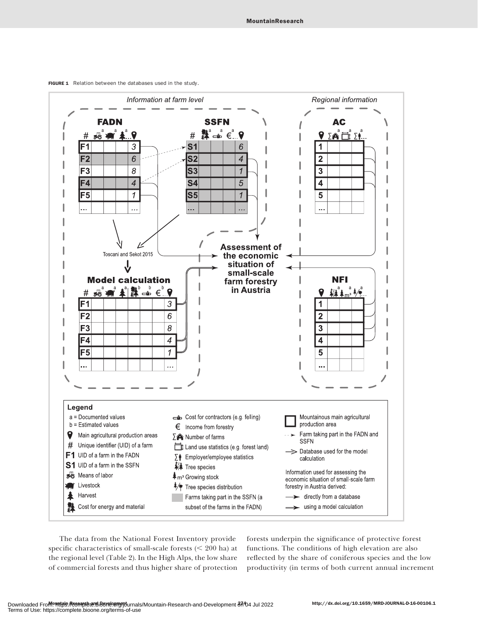

FIGURE 1 Relation between the databases used in the study.



The data from the National Forest Inventory provide specific characteristics of small-scale forests  $(< 200$  ha) at the regional level (Table 2). In the High Alps, the low share of commercial forests and thus higher share of protection forests underpin the significance of protective forest functions. The conditions of high elevation are also reflected by the share of coniferous species and the low productivity (in terms of both current annual increment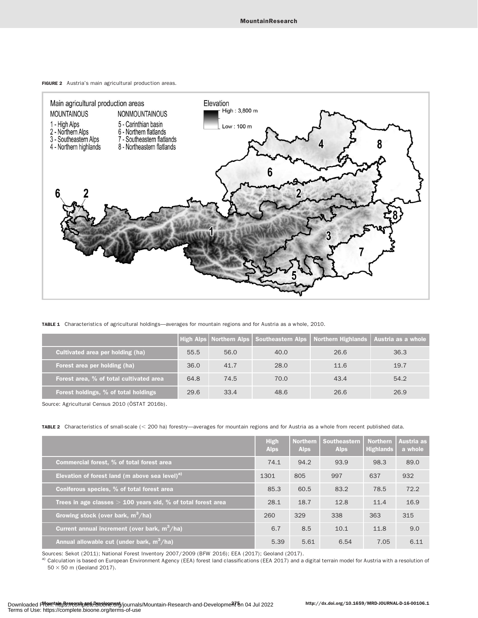



TABLE 1 Characteristics of agricultural holdings—averages for mountain regions and for Austria as a whole, 2010.

|                                         |      |      |      | High Alps Northern Alps   Southeastern Alps   Northern Highlands   Austria as a whole |      |
|-----------------------------------------|------|------|------|---------------------------------------------------------------------------------------|------|
| Cultivated area per holding (ha)        | 55.5 | 56.0 | 40.0 | 26.6                                                                                  | 36.3 |
| Forest area per holding (ha)            | 36.0 | 41.7 | 28.0 | 11.6                                                                                  | 19.7 |
| Forest area, % of total cultivated area | 64.8 | 74.5 | 70.0 | 43.4                                                                                  | 54.2 |
| Forest holdings, % of total holdings    | 29.6 | 33.4 | 48.6 | 26.6                                                                                  | 26.9 |

Source: Agricultural Census 2010 (ÖSTAT 2016b).

TABLE 2 Characteristics of small-scale (< 200 ha) forestry—averages for mountain regions and for Austria as a whole from recent published data.

|                                                                | <b>High</b><br><b>Alps</b> | <b>Northern</b><br><b>Alps</b> | Southeastern<br><b>Alps</b> | <b>Northern</b><br><b>Highlands</b> | Austria as<br>a whole |
|----------------------------------------------------------------|----------------------------|--------------------------------|-----------------------------|-------------------------------------|-----------------------|
| Commercial forest, % of total forest area                      | 74.1                       | 94.2                           | 93.9                        | 98.3                                | 89.0                  |
| Elevation of forest land (m above sea level) $a$ )             | 1301                       | 805                            | 997                         | 637                                 | 932                   |
| Coniferous species, % of total forest area                     | 85.3                       | 60.5                           | 83.2                        | 78.5                                | 72.2                  |
| Trees in age classes $> 100$ years old, % of total forest area | 28.1                       | 18.7                           | 12.8                        | 11.4                                | 16.9                  |
| Growing stock (over bark, $m^3/ha$ )                           | 260                        | 329                            | 338                         | 363                                 | 315                   |
| Current annual increment (over bark, $m^3/ha$ )                | 6.7                        | 8.5                            | 10.1                        | 11.8                                | 9.0                   |
| Annual allowable cut (under bark, $m^3/ha$ )                   | 5.39                       | 5.61                           | 6.54                        | 7.05                                | 6.11                  |

Sources: Sekot (2011); National Forest Inventory 2007/2009 (BFW 2016); EEA (2017); Geoland (2017).

a) Calculation is based on European Environment Agency (EEA) forest land classifications (EEA 2017) and a digital terrain model for Austria with a resolution of  $50 \times 50$  m (Geoland 2017).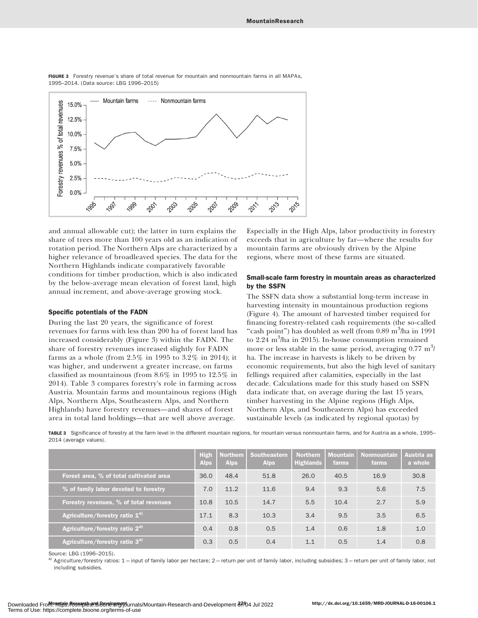

FIGURE 3 Forestry revenue's share of total revenue for mountain and nonmountain farms in all MAPAs, 1995–2014. (Data source: LBG 1996–2015)

and annual allowable cut); the latter in turn explains the share of trees more than 100 years old as an indication of rotation period. The Northern Alps are characterized by a higher relevance of broadleaved species. The data for the Northern Highlands indicate comparatively favorable conditions for timber production, which is also indicated by the below-average mean elevation of forest land, high annual increment, and above-average growing stock.

#### Specific potentials of the FADN

During the last 20 years, the significance of forest revenues for farms with less than 200 ha of forest land has increased considerably (Figure 3) within the FADN. The share of forestry revenues increased slightly for FADN farms as a whole (from 2.5% in 1995 to 3.2% in 2014); it was higher, and underwent a greater increase, on farms classified as mountainous (from 8.6% in 1995 to 12.5% in 2014). Table 3 compares forestry's role in farming across Austria. Mountain farms and mountainous regions (High Alps, Northern Alps, Southeastern Alps, and Northern Highlands) have forestry revenues—and shares of forest area in total land holdings—that are well above average.

Especially in the High Alps, labor productivity in forestry exceeds that in agriculture by far—where the results for mountain farms are obviously driven by the Alpine regions, where most of these farms are situated.

### Small-scale farm forestry in mountain areas as characterized by the SSFN

The SSFN data show a substantial long-term increase in harvesting intensity in mountainous production regions (Figure 4). The amount of harvested timber required for financing forestry-related cash requirements (the so-called "cash point") has doubled as well (from 0.89 m<sup>3</sup>/ha in 1991 to 2.24 m<sup>3</sup>/ha in 2015). In-house consumption remained more or less stable in the same period, averaging  $0.77 \text{ m}^3$ ha. The increase in harvests is likely to be driven by economic requirements, but also the high level of sanitary fellings required after calamities, especially in the last decade. Calculations made for this study based on SSFN data indicate that, on average during the last 15 years, timber harvesting in the Alpine regions (High Alps, Northern Alps, and Southeastern Alps) has exceeded sustainable levels (as indicated by regional quotas) by

TABLE 3 Significance of forestry at the farm level in the different mountain regions, for mountain versus nonmountain farms, and for Austria as a whole, 1995– 2014 (average values).

|                                            | <b>High</b><br><b>Alps</b> | <b>Northern</b><br><b>Alps</b> | <b>Southeastern</b><br><b>Alps</b> | <b>Northern</b><br><b>Highlands</b> | <b>Mountain</b><br>farms | <b>Nonmountain</b><br>farms | Austria as<br>a whole |
|--------------------------------------------|----------------------------|--------------------------------|------------------------------------|-------------------------------------|--------------------------|-----------------------------|-----------------------|
| Forest area, % of total cultivated area    | 36.0                       | 48.4                           | 51.8                               | 26.0                                | 40.5                     | 16.9                        | 30.8                  |
| % of family labor devoted to forestry      | 7.0                        | 11.2                           | 11.6                               | 9.4                                 | 9.3                      | 5.6                         | 7.5                   |
| Forestry revenues, % of total revenues     | 10.8                       | 10.5                           | 14.7                               | 5.5                                 | 10.4                     | 2.7                         | 5.9                   |
| Agriculture/forestry ratio $1^{a}$         | 17.1                       | 8.3                            | 10.3                               | 3.4                                 | 9.5                      | 3.5                         | 6.5                   |
| Agriculture/forestry ratio 2 <sup>a)</sup> | 0.4                        | 0.8                            | 0.5                                | 1.4                                 | 0.6                      | 1.8                         | 1.0                   |
| Agriculture/forestry ratio 3 <sup>a)</sup> | 0.3                        | 0.5                            | 0.4                                | 1.1                                 | 0.5                      | 1.4                         | 0.8                   |

Source: LBG (1996–2015).

Agriculture/forestry ratios: 1 = input of family labor per hectare; 2 = return per unit of family labor, including subsidies; 3 = return per unit of family labor, not including subsidies.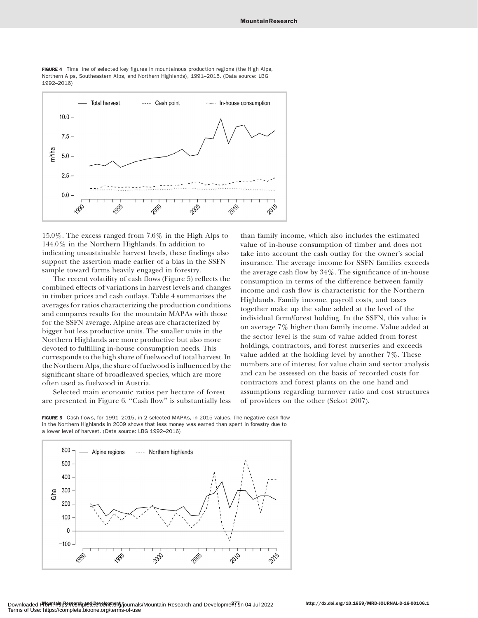

FIGURE 4 Time line of selected key figures in mountainous production regions (the High Alps, Northern Alps, Southeastern Alps, and Northern Highlands), 1991–2015. (Data source: LBG 1992–2016)

15.0%. The excess ranged from 7.6% in the High Alps to 144.0% in the Northern Highlands. In addition to indicating unsustainable harvest levels, these findings also support the assertion made earlier of a bias in the SSFN sample toward farms heavily engaged in forestry.

The recent volatility of cash flows (Figure 5) reflects the combined effects of variations in harvest levels and changes in timber prices and cash outlays. Table 4 summarizes the averages for ratios characterizing the production conditions and compares results for the mountain MAPAs with those for the SSFN average. Alpine areas are characterized by bigger but less productive units. The smaller units in the Northern Highlands are more productive but also more devoted to fulfilling in-house consumption needs. This corresponds to the high share of fuelwood of total harvest. In the Northern Alps, the share of fuelwood is influenced by the significant share of broadleaved species, which are more often used as fuelwood in Austria.

Selected main economic ratios per hectare of forest are presented in Figure 6. ''Cash flow'' is substantially less than family income, which also includes the estimated value of in-house consumption of timber and does not take into account the cash outlay for the owner's social insurance. The average income for SSFN families exceeds the average cash flow by 34%. The significance of in-house consumption in terms of the difference between family income and cash flow is characteristic for the Northern Highlands. Family income, payroll costs, and taxes together make up the value added at the level of the individual farm/forest holding. In the SSFN, this value is on average 7% higher than family income. Value added at the sector level is the sum of value added from forest holdings, contractors, and forest nurseries and exceeds value added at the holding level by another 7%. These numbers are of interest for value chain and sector analysis and can be assessed on the basis of recorded costs for contractors and forest plants on the one hand and assumptions regarding turnover ratio and cost structures of providers on the other (Sekot 2007).

FIGURE 5 Cash flows, for 1991-2015, in 2 selected MAPAs, in 2015 values. The negative cash flow in the Northern Highlands in 2009 shows that less money was earned than spent in forestry due to a lower level of harvest. (Data source: LBG 1992–2016)

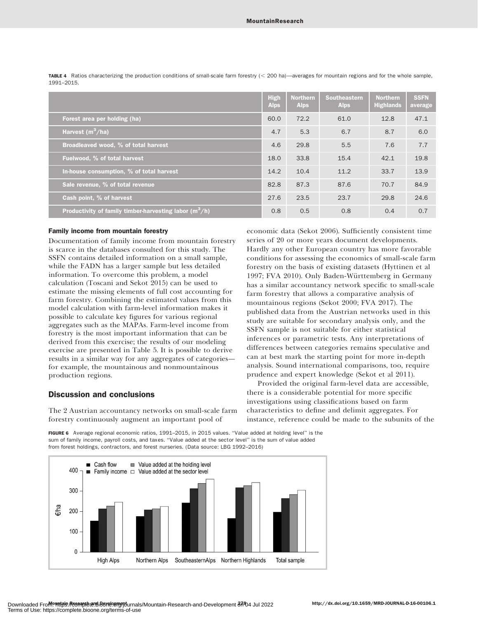|                                                            | <b>High</b><br><b>Alps</b> | <b>Northern</b><br><b>Alps</b> | <b>Southeastern</b><br><b>Alps</b> | <b>Northern</b><br><b>Highlands</b> | <b>SSFN</b><br>average |
|------------------------------------------------------------|----------------------------|--------------------------------|------------------------------------|-------------------------------------|------------------------|
| Forest area per holding (ha)                               | 60.0                       | 72.2                           | 61.0                               | 12.8                                | 47.1                   |
| Harvest $(m^3/ha)$                                         | 4.7                        | 5.3                            | 6.7                                | 8.7                                 | 6.0                    |
| Broadleaved wood, % of total harvest                       | 4.6                        | 29.8                           | 5.5                                | 7.6                                 | 7.7                    |
| Fuelwood, % of total harvest                               | 18.0                       | 33.8                           | 15.4                               | 42.1                                | 19.8                   |
| In-house consumption, % of total harvest                   | 14.2                       | 10.4                           | 11.2                               | 33.7                                | 13.9                   |
| Sale revenue, % of total revenue                           | 82.8                       | 87.3                           | 87.6                               | 70.7                                | 84.9                   |
| Cash point, % of harvest                                   | 27.6                       | 23.5                           | 23.7                               | 29.8                                | 24.6                   |
| Productivity of family timber-harvesting labor ( $m^3/h$ ) | 0.8                        | 0.5                            | 0.8                                | 0.4                                 | 0.7                    |

TABLE 4 Ratios characterizing the production conditions of small-scale farm forestry (< 200 ha)—averages for mountain regions and for the whole sample, 1991–2015.

### Family income from mountain forestry

Documentation of family income from mountain forestry is scarce in the databases consulted for this study. The SSFN contains detailed information on a small sample, while the FADN has a larger sample but less detailed information. To overcome this problem, a model calculation (Toscani and Sekot 2015) can be used to estimate the missing elements of full cost accounting for farm forestry. Combining the estimated values from this model calculation with farm-level information makes it possible to calculate key figures for various regional aggregates such as the MAPAs. Farm-level income from forestry is the most important information that can be derived from this exercise; the results of our modeling exercise are presented in Table 5. It is possible to derive results in a similar way for any aggregates of categories for example, the mountainous and nonmountainous production regions.

## Discussion and conclusions

The 2 Austrian accountancy networks on small-scale farm forestry continuously augment an important pool of

economic data (Sekot 2006). Sufficiently consistent time series of 20 or more years document developments. Hardly any other European country has more favorable conditions for assessing the economics of small-scale farm forestry on the basis of existing datasets (Hyttinen et al 1997; FVA 2010). Only Baden-Württemberg in Germany has a similar accountancy network specific to small-scale farm forestry that allows a comparative analysis of mountainous regions (Sekot 2000; FVA 2017). The published data from the Austrian networks used in this study are suitable for secondary analysis only, and the SSFN sample is not suitable for either statistical inferences or parametric tests. Any interpretations of differences between categories remains speculative and can at best mark the starting point for more in-depth analysis. Sound international comparisons, too, require prudence and expert knowledge (Sekot et al 2011).

Provided the original farm-level data are accessible, there is a considerable potential for more specific investigations using classifications based on farm characteristics to define and delimit aggregates. For instance, reference could be made to the subunits of the

FIGURE 6 Average regional economic ratios, 1991–2015, in 2015 values. ''Value added at holding level'' is the sum of family income, payroll costs, and taxes. ''Value added at the sector level'' is the sum of value added from forest holdings, contractors, and forest nurseries. (Data source: LBG 1992–2016)

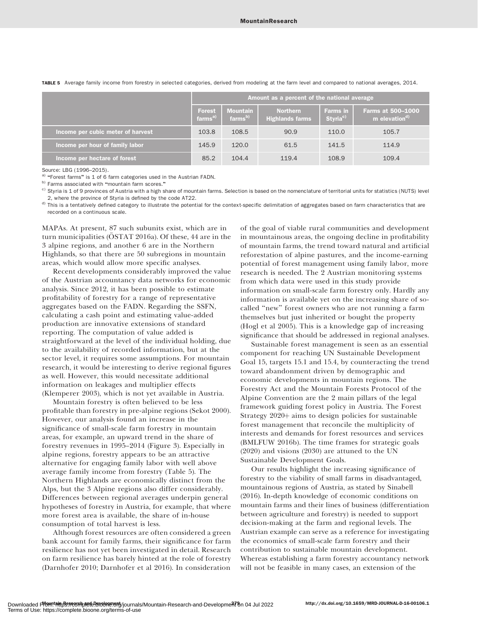|                                   | Amount as a percent of the national average |                                        |                                    |                                         |                                                       |  |  |  |
|-----------------------------------|---------------------------------------------|----------------------------------------|------------------------------------|-----------------------------------------|-------------------------------------------------------|--|--|--|
|                                   | <b>Forest</b><br>$farms^{a)}$               | <b>Mountain</b><br>farms <sup>b)</sup> | Northern<br><b>Highlands farms</b> | <b>Farms in</b><br>Styria <sup>c)</sup> | <b>Farms at 500-1000</b><br>m elevation <sup>d)</sup> |  |  |  |
| Income per cubic meter of harvest | 103.8                                       | 108.5                                  | 90.9                               | 110.0                                   | 105.7                                                 |  |  |  |
| Income per hour of family labor   | 145.9                                       | 120.0                                  | 61.5                               | 141.5                                   | 114.9                                                 |  |  |  |
| Income per hectare of forest      | 85.2                                        | 104.4                                  | 119.4                              | 108.9                                   | 109.4                                                 |  |  |  |

TABLE 5 Average family income from forestry in selected categories, derived from modeling at the farm level and compared to national averages, 2014.

Source: LBG (1996–2015).

a) "Forest farms" is 1 of 6 farm categories used in the Austrian FADN.

b) Farms associated with "mountain farm scores."

<sup>c)</sup> Styria is 1 of 9 provinces of Austria with a high share of mountain farms. Selection is based on the nomenclature of territorial units for statistics (NUTS) level 2, where the province of Styria is defined by the code AT22.

<sup>d)</sup> This is a tentatively defined category to illustrate the potential for the context-specific delimitation of aggregates based on farm characteristics that are recorded on a continuous scale.

MAPAs. At present, 87 such subunits exist, which are in turn municipalities ( $\overline{O}STAT 2016a$ ). Of these, 44 are in the 3 alpine regions, and another 6 are in the Northern Highlands, so that there are 50 subregions in mountain areas, which would allow more specific analyses.

Recent developments considerably improved the value of the Austrian accountancy data networks for economic analysis. Since 2012, it has been possible to estimate profitability of forestry for a range of representative aggregates based on the FADN. Regarding the SSFN, calculating a cash point and estimating value-added production are innovative extensions of standard reporting. The computation of value added is straightforward at the level of the individual holding, due to the availability of recorded information, but at the sector level, it requires some assumptions. For mountain research, it would be interesting to derive regional figures as well. However, this would necessitate additional information on leakages and multiplier effects (Klemperer 2003), which is not yet available in Austria.

Mountain forestry is often believed to be less profitable than forestry in pre-alpine regions (Sekot 2000). However, our analysis found an increase in the significance of small-scale farm forestry in mountain areas, for example, an upward trend in the share of forestry revenues in 1995–2014 (Figure 3). Especially in alpine regions, forestry appears to be an attractive alternative for engaging family labor with well above average family income from forestry (Table 5). The Northern Highlands are economically distinct from the Alps, but the 3 Alpine regions also differ considerably. Differences between regional averages underpin general hypotheses of forestry in Austria, for example, that where more forest area is available, the share of in-house consumption of total harvest is less.

Although forest resources are often considered a green bank account for family farms, their significance for farm resilience has not yet been investigated in detail. Research on farm resilience has barely hinted at the role of forestry (Darnhofer 2010; Darnhofer et al 2016). In consideration

of the goal of viable rural communities and development in mountainous areas, the ongoing decline in profitability of mountain farms, the trend toward natural and artificial reforestation of alpine pastures, and the income-earning potential of forest management using family labor, more research is needed. The 2 Austrian monitoring systems from which data were used in this study provide information on small-scale farm forestry only. Hardly any information is available yet on the increasing share of socalled ''new'' forest owners who are not running a farm themselves but just inherited or bought the property (Hogl et al 2005). This is a knowledge gap of increasing significance that should be addressed in regional analyses.

Sustainable forest management is seen as an essential component for reaching UN Sustainable Development Goal 15, targets 15.1 and 15.4, by counteracting the trend toward abandonment driven by demographic and economic developments in mountain regions. The Forestry Act and the Mountain Forests Protocol of the Alpine Convention are the 2 main pillars of the legal framework guiding forest policy in Austria. The Forest Strategy  $2020+$  aims to design policies for sustainable forest management that reconcile the multiplicity of interests and demands for forest resources and services (BMLFUW 2016b). The time frames for strategic goals (2020) and visions (2030) are attuned to the UN Sustainable Development Goals.

Our results highlight the increasing significance of forestry to the viability of small farms in disadvantaged, mountainous regions of Austria, as stated by Sinabell (2016). In-depth knowledge of economic conditions on mountain farms and their lines of business (differentiation between agriculture and forestry) is needed to support decision-making at the farm and regional levels. The Austrian example can serve as a reference for investigating the economics of small-scale farm forestry and their contribution to sustainable mountain development. Whereas establishing a farm forestry accountancy network will not be feasible in many cases, an extension of the